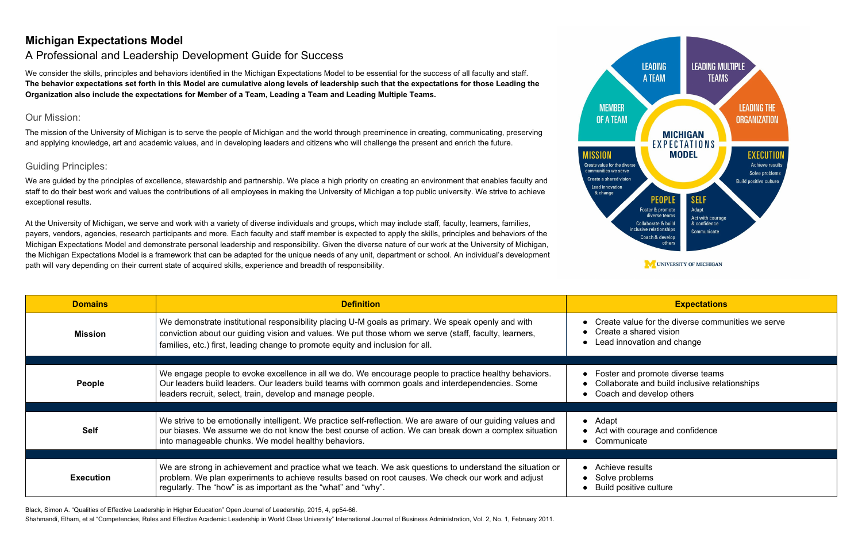# **Michigan Expectations Model**

We consider the skills, principles and behaviors identified in the Michigan Expectations Model to be essential for the success of all faculty and staff. The behavior expectations set forth in this Model are cumulative along levels of leadership such that the expectations for those Leading the Organization also include the expectations for Member of a Team, Leading a Team and Leading Multiple Teams.

# A Professional and Leadership Development Guide for Success

## Our Mission:

We are guided by the principles of excellence, stewardship and partnership. We place a high priority on creating an environment that enables faculty and staff to do their best work and values the contributions of all employees in making the University of Michigan a top public university. We strive to achieve exceptional results.

The mission of the University of Michigan is to serve the people of Michigan and the world through preeminence in creating, communicating, preserving and applying knowledge, art and academic values, and in developing leaders and citizens who will challenge the present and enrich the future.

## Guiding Principles:

At the University of Michigan, we serve and work with a variety of diverse individuals and groups, which may include staff, faculty, learners, families, payers, vendors, agencies, research participants and more. Each faculty and staff member is expected to apply the skills, principles and behaviors of the Michigan Expectations Model and demonstrate personal leadership and responsibility. Given the diverse nature of our work at the University of Michigan, the Michigan Expectations Model is a framework that can be adapted for the unique needs of any unit, department or school. An individual's development path will vary depending on their current state of acquired skills, experience and breadth of responsibility.

| <b>Domains</b>   | <b>Definition</b>                                                                                                                                                                                                                                                                             | <b>Expectations</b>                                                                                                |
|------------------|-----------------------------------------------------------------------------------------------------------------------------------------------------------------------------------------------------------------------------------------------------------------------------------------------|--------------------------------------------------------------------------------------------------------------------|
| <b>Mission</b>   | We demonstrate institutional responsibility placing U-M goals as primary. We speak openly and with<br>conviction about our guiding vision and values. We put those whom we serve (staff, faculty, learners,<br>families, etc.) first, leading change to promote equity and inclusion for all. | Create value for the diverse commu<br>Create a shared vision<br>Lead innovation and change                         |
|                  |                                                                                                                                                                                                                                                                                               |                                                                                                                    |
| <b>People</b>    | We engage people to evoke excellence in all we do. We encourage people to practice healthy behaviors.<br>Our leaders build leaders. Our leaders build teams with common goals and interdependencies. Some<br>leaders recruit, select, train, develop and manage people.                       | Foster and promote diverse teams<br>Collaborate and build inclusive relat<br>Coach and develop others<br>$\bullet$ |
|                  |                                                                                                                                                                                                                                                                                               |                                                                                                                    |
| <b>Self</b>      | We strive to be emotionally intelligent. We practice self-reflection. We are aware of our guiding values and<br>our biases. We assume we do not know the best course of action. We can break down a complex situation<br>into manageable chunks. We model healthy behaviors.                  | Adapt<br>$\bullet$<br>Act with courage and confidence<br>Communicate                                               |
|                  |                                                                                                                                                                                                                                                                                               |                                                                                                                    |
| <b>Execution</b> | We are strong in achievement and practice what we teach. We ask questions to understand the situation or<br>problem. We plan experiments to achieve results based on root causes. We check our work and adjust<br>regularly. The "how" is as important as the "what" and "why".               | Achieve results<br>$\bullet$<br>Solve problems<br>$\bullet$<br><b>Build positive culture</b>                       |

Black, Simon A. "Qualities of Effective Leadership in Higher Education" Open Journal of Leadership, 2015, 4, pp54-66.

Shahmandi, Elham, et al "Competencies, Roles and Effective Academic Leadership in World Class University" International Journal of Business Administration, Vol. 2, No. 1, February 2011.



**MEMBER** 

**IISSION** 

**Lead innovation** & change

ue for the diverse communities we serve hared vision vation and change

promote diverse teams te and build inclusive relationships develop others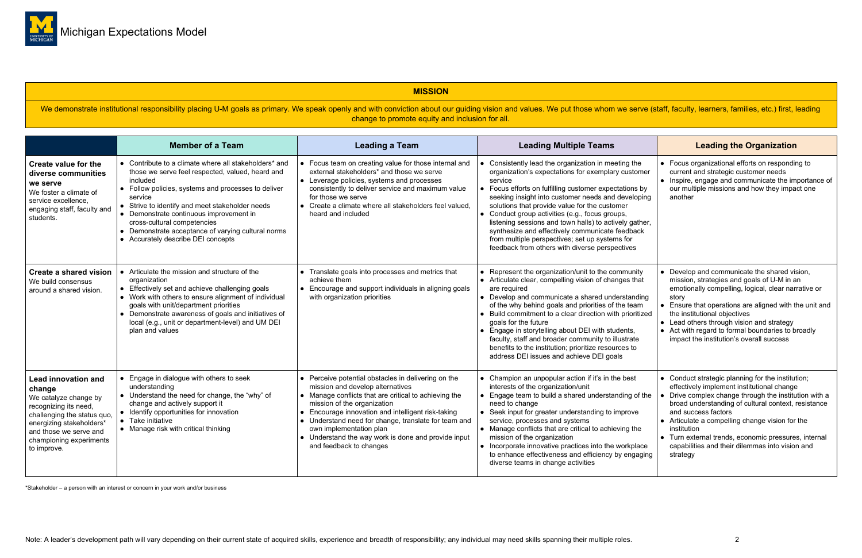### **MISSION**

We demonstrate institutional responsibility placing U-M goals as primary. We speak openly and with conviction about our guiding vision and values. We put those whom we serve (staff, faculty, learners, families, etc.) first change to promote equity and inclusion for all.

|                                                                                                                                                                                                                       | <b>Member of a Team</b>                                                                                                                                                                                                                                                                                                                                                                                          | <b>Leading a Team</b>                                                                                                                                                                                                                                                                                                                                                                                    | <b>Leading Multiple Teams</b>                                                                                                                                                                                                                                                                                                                                                                                                                                                                                                                             | <b>Leading the Organization</b>                                                                                                                                                                                                                                                                                                                                                                                                 |
|-----------------------------------------------------------------------------------------------------------------------------------------------------------------------------------------------------------------------|------------------------------------------------------------------------------------------------------------------------------------------------------------------------------------------------------------------------------------------------------------------------------------------------------------------------------------------------------------------------------------------------------------------|----------------------------------------------------------------------------------------------------------------------------------------------------------------------------------------------------------------------------------------------------------------------------------------------------------------------------------------------------------------------------------------------------------|-----------------------------------------------------------------------------------------------------------------------------------------------------------------------------------------------------------------------------------------------------------------------------------------------------------------------------------------------------------------------------------------------------------------------------------------------------------------------------------------------------------------------------------------------------------|---------------------------------------------------------------------------------------------------------------------------------------------------------------------------------------------------------------------------------------------------------------------------------------------------------------------------------------------------------------------------------------------------------------------------------|
| <b>Create value for the</b><br>diverse communities<br>we serve<br>We foster a climate of<br>service excellence.<br>engaging staff, faculty and<br>students.                                                           | • Contribute to a climate where all stakeholders* and<br>those we serve feel respected, valued, heard and<br>included<br>• Follow policies, systems and processes to deliver<br>service<br>• Strive to identify and meet stakeholder needs<br>• Demonstrate continuous improvement in<br>cross-cultural competencies<br>• Demonstrate acceptance of varying cultural norms<br>• Accurately describe DEI concepts | Focus team on creating value for those internal and<br>external stakeholders* and those we serve<br>• Leverage policies, systems and processes<br>consistently to deliver service and maximum value<br>for those we serve<br>• Create a climate where all stakeholders feel valued,<br>heard and included                                                                                                | • Consistently lead the organization in meeting the<br>organization's expectations for exemplary customer<br>service<br>• Focus efforts on fulfilling customer expectations by<br>seeking insight into customer needs and developing<br>solutions that provide value for the customer<br>• Conduct group activities (e.g., focus groups,<br>listening sessions and town halls) to actively gather,<br>synthesize and effectively communicate feedback<br>from multiple perspectives; set up systems for<br>feedback from others with diverse perspectives | • Focus organizational efforts on responding to<br>current and strategic customer needs<br>• Inspire, engage and communicate the importance of<br>our multiple missions and how they impact one<br>another                                                                                                                                                                                                                      |
| <b>Create a shared vision</b><br>We build consensus<br>around a shared vision.                                                                                                                                        | • Articulate the mission and structure of the<br>organization<br>• Effectively set and achieve challenging goals<br>• Work with others to ensure alignment of individual<br>goals with unit/department priorities<br>• Demonstrate awareness of goals and initiatives of<br>local (e.g., unit or department-level) and UM DEI<br>plan and values                                                                 | • Translate goals into processes and metrics that<br>achieve them<br>• Encourage and support individuals in aligning goals<br>with organization priorities                                                                                                                                                                                                                                               | • Represent the organization/unit to the community<br>• Articulate clear, compelling vision of changes that<br>are required<br>• Develop and communicate a shared understanding<br>of the why behind goals and priorities of the team<br>• Build commitment to a clear direction with prioritized<br>goals for the future<br>• Engage in storytelling about DEI with students,<br>faculty, staff and broader community to illustrate<br>benefits to the institution; prioritize resources to<br>address DEI issues and achieve DEI goals                  | • Develop and communicate the shared vision,<br>mission, strategies and goals of U-M in an<br>emotionally compelling, logical, clear narrative or<br>story<br>• Ensure that operations are aligned with the unit and<br>the institutional objectives<br>• Lead others through vision and strategy<br>• Act with regard to formal boundaries to broadly<br>impact the institution's overall success                              |
| <b>Lead innovation and</b><br>change<br>We catalyze change by<br>recognizing its need,<br>challenging the status quo,<br>energizing stakeholders*<br>and those we serve and<br>championing experiments<br>to improve. | • Engage in dialogue with others to seek<br>understanding<br>• Understand the need for change, the "why" of<br>change and actively support it<br>• Identify opportunities for innovation<br>• Take initiative<br>• Manage risk with critical thinking                                                                                                                                                            | • Perceive potential obstacles in delivering on the<br>mission and develop alternatives<br>• Manage conflicts that are critical to achieving the<br>mission of the organization<br>Encourage innovation and intelligent risk-taking<br>• Understand need for change, translate for team and<br>own implementation plan<br>• Understand the way work is done and provide input<br>and feedback to changes | • Champion an unpopular action if it's in the best<br>interests of the organization/unit<br>• Engage team to build a shared understanding of the<br>need to change<br>• Seek input for greater understanding to improve<br>service, processes and systems<br>• Manage conflicts that are critical to achieving the<br>mission of the organization<br>• Incorporate innovative practices into the workplace<br>to enhance effectiveness and efficiency by engaging<br>diverse teams in change activities                                                   | • Conduct strategic planning for the institution;<br>effectively implement institutional change<br>• Drive complex change through the institution with a<br>broad understanding of cultural context, resistance<br>and success factors<br>• Articulate a compelling change vision for the<br>institution<br>• Turn external trends, economic pressures, internal<br>capabilities and their dilemmas into vision and<br>strategy |

\*Stakeholder – a person with an interest or concern in your work and/or business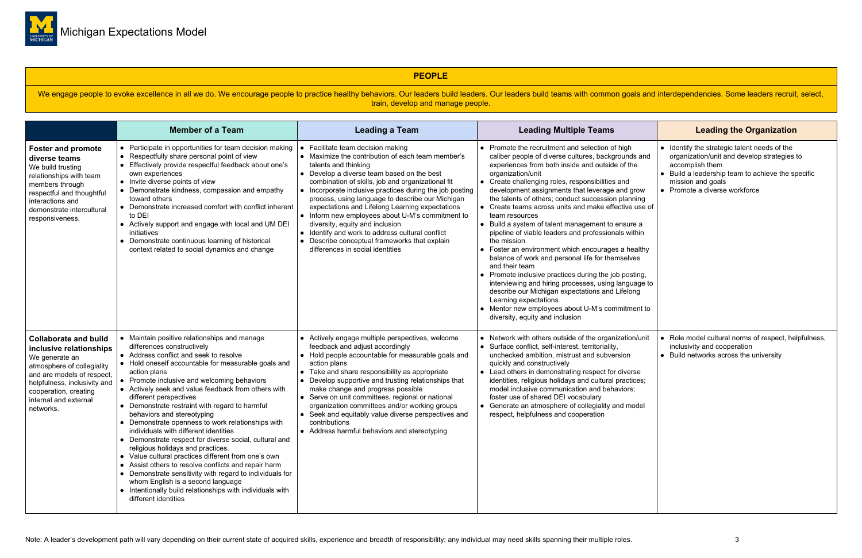

### **PEOPLE**

We engage people to evoke excellence in all we do. We encourage people to practice healthy behaviors. Our leaders build leaders build teams with common goals and interdependencies. Some leaders recruit, select, train, develop and manage people.

|                                                                                                                                                                                                                                      | <b>Member of a Team</b>                                                                                                                                                                                                                                                                                                                                                                                                                                                                                                                                                                                                                                                                                                                                                                                                                                                                                       | <b>Leading a Team</b>                                                                                                                                                                                                                                                                                                                                                                                                                                                                                                                                                                                                | <b>Leading Multiple Teams</b>                                                                                                                                                                                                                                                                                                                                                                                                                                                                                                                                                                                                                                                                                                                                                                                                                                                                                                                                    | <b>Leading the Organization</b>                                                                                                                                                                                |
|--------------------------------------------------------------------------------------------------------------------------------------------------------------------------------------------------------------------------------------|---------------------------------------------------------------------------------------------------------------------------------------------------------------------------------------------------------------------------------------------------------------------------------------------------------------------------------------------------------------------------------------------------------------------------------------------------------------------------------------------------------------------------------------------------------------------------------------------------------------------------------------------------------------------------------------------------------------------------------------------------------------------------------------------------------------------------------------------------------------------------------------------------------------|----------------------------------------------------------------------------------------------------------------------------------------------------------------------------------------------------------------------------------------------------------------------------------------------------------------------------------------------------------------------------------------------------------------------------------------------------------------------------------------------------------------------------------------------------------------------------------------------------------------------|------------------------------------------------------------------------------------------------------------------------------------------------------------------------------------------------------------------------------------------------------------------------------------------------------------------------------------------------------------------------------------------------------------------------------------------------------------------------------------------------------------------------------------------------------------------------------------------------------------------------------------------------------------------------------------------------------------------------------------------------------------------------------------------------------------------------------------------------------------------------------------------------------------------------------------------------------------------|----------------------------------------------------------------------------------------------------------------------------------------------------------------------------------------------------------------|
| <b>Foster and promote</b><br>diverse teams<br>We build trusting<br>relationships with team<br>members through<br>respectful and thoughtful<br>interactions and<br>demonstrate intercultural<br>responsiveness.                       | • Participate in opportunities for team decision making<br>• Respectfully share personal point of view<br>• Effectively provide respectful feedback about one's<br>own experiences<br>• Invite diverse points of view<br>• Demonstrate kindness, compassion and empathy<br>toward others<br>• Demonstrate increased comfort with conflict inherent<br>to DEI<br>• Actively support and engage with local and UM DEI<br>initiatives<br>• Demonstrate continuous learning of historical<br>context related to social dynamics and change                                                                                                                                                                                                                                                                                                                                                                        | • Facilitate team decision making<br>• Maximize the contribution of each team member's<br>talents and thinking<br>• Develop a diverse team based on the best<br>combination of skills, job and organizational fit<br>• Incorporate inclusive practices during the job posting<br>process, using language to describe our Michigan<br>expectations and Lifelong Learning expectations<br>• Inform new employees about U-M's commitment to<br>diversity, equity and inclusion<br>• Identify and work to address cultural conflict<br>• Describe conceptual frameworks that explain<br>differences in social identities | • Promote the recruitment and selection of high<br>caliber people of diverse cultures, backgrounds and<br>experiences from both inside and outside of the<br>organization/unit<br>• Create challenging roles, responsibilities and<br>development assignments that leverage and grow<br>the talents of others; conduct succession planning<br>• Create teams across units and make effective use of<br>team resources<br>• Build a system of talent management to ensure a<br>pipeline of viable leaders and professionals within<br>the mission<br>• Foster an environment which encourages a healthy<br>balance of work and personal life for themselves<br>and their team<br>• Promote inclusive practices during the job posting,<br>interviewing and hiring processes, using language to<br>describe our Michigan expectations and Lifelong<br>Learning expectations<br>• Mentor new employees about U-M's commitment to<br>diversity, equity and inclusion | • Identify the strategic talent needs of the<br>organization/unit and develop strategies t<br>accomplish them<br>Build a leadership team to achieve the sp<br>mission and goals<br>Promote a diverse workforce |
| <b>Collaborate and build</b><br>inclusive relationships<br>We generate an<br>atmosphere of collegiality<br>and are models of respect,<br>helpfulness, inclusivity and<br>cooperation, creating<br>internal and external<br>networks. | • Maintain positive relationships and manage<br>differences constructively<br>• Address conflict and seek to resolve<br>• Hold oneself accountable for measurable goals and<br>action plans<br>• Promote inclusive and welcoming behaviors<br>• Actively seek and value feedback from others with<br>different perspectives<br>• Demonstrate restraint with regard to harmful<br>behaviors and stereotyping<br>• Demonstrate openness to work relationships with<br>individuals with different identities<br>• Demonstrate respect for diverse social, cultural and<br>religious holidays and practices.<br>• Value cultural practices different from one's own<br>• Assist others to resolve conflicts and repair harm<br>• Demonstrate sensitivity with regard to individuals for<br>whom English is a second language<br>• Intentionally build relationships with individuals with<br>different identities | • Actively engage multiple perspectives, welcome<br>feedback and adjust accordingly<br>• Hold people accountable for measurable goals and<br>action plans<br>• Take and share responsibility as appropriate<br>• Develop supportive and trusting relationships that<br>make change and progress possible<br>• Serve on unit committees, regional or national<br>organization committees and/or working groups<br>• Seek and equitably value diverse perspectives and<br>contributions<br>• Address harmful behaviors and stereotyping                                                                                | • Network with others outside of the organization/unit<br>• Surface conflict, self-interest, territoriality,<br>unchecked ambition, mistrust and subversion<br>quickly and constructively<br>• Lead others in demonstrating respect for diverse<br>identities, religious holidays and cultural practices;<br>model inclusive communication and behaviors;<br>foster use of shared DEI vocabulary<br>• Generate an atmosphere of collegiality and model<br>respect, helpfulness and cooperation                                                                                                                                                                                                                                                                                                                                                                                                                                                                   | Role model cultural norms of respect, hel<br>inclusivity and cooperation<br>• Build networks across the university                                                                                             |

|                       |           | <b>Leading the Organization</b>                                                                                                                                 |
|-----------------------|-----------|-----------------------------------------------------------------------------------------------------------------------------------------------------------------|
| s and<br>e            | $\bullet$ | Identify the strategic talent needs of the<br>organization/unit and develop strategies to<br>accomplish them<br>Build a leadership team to achieve the specific |
| row<br>ing<br>use of  |           | mission and goals<br>Promote a diverse workforce                                                                                                                |
| эa<br>:hin            |           |                                                                                                                                                                 |
| althy<br>ЭS           |           |                                                                                                                                                                 |
| ting,<br>age to<br>٦g |           |                                                                                                                                                                 |
| ent to                |           |                                                                                                                                                                 |
| h/unit                | $\bullet$ | Role model cultural norms of respect, helpfulness,<br>inclusivity and cooperation<br>Build networks across the university                                       |
| se<br>ces;            |           |                                                                                                                                                                 |
| del                   |           |                                                                                                                                                                 |
|                       |           |                                                                                                                                                                 |
|                       |           |                                                                                                                                                                 |
|                       |           |                                                                                                                                                                 |
|                       |           |                                                                                                                                                                 |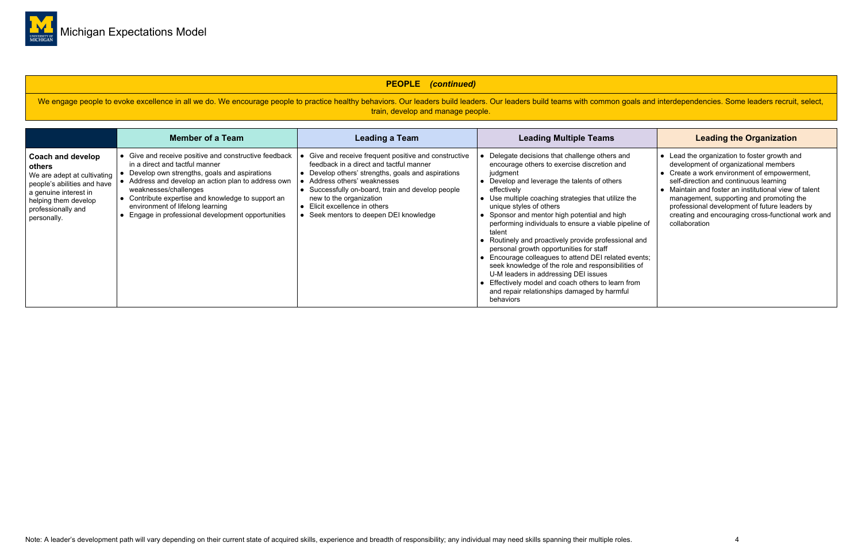

### **PEOPLE** *(continued)*

We engage people to evoke excellence in all we do. We encourage people to practice healthy behaviors. Our leaders build leaders build teams with common goals and interdependencies. Some leaders recruit, select, train, develop and manage people.

|                                                                                                                                                                                 | <b>Member of a Team</b>                                                                                                                                                                                                                                                                                                                                                 | <b>Leading a Team</b>                                                                                                                                                                                                                                                                                                                       | <b>Leading Multiple Teams</b>                                                                                                                                                                                                                                                                                                                                                                                                                                                                                                                                                                                                                                                                                                                            | <b>Leading the Organization</b>                                                                                                                                                                                                                                                                                                                                                                             |
|---------------------------------------------------------------------------------------------------------------------------------------------------------------------------------|-------------------------------------------------------------------------------------------------------------------------------------------------------------------------------------------------------------------------------------------------------------------------------------------------------------------------------------------------------------------------|---------------------------------------------------------------------------------------------------------------------------------------------------------------------------------------------------------------------------------------------------------------------------------------------------------------------------------------------|----------------------------------------------------------------------------------------------------------------------------------------------------------------------------------------------------------------------------------------------------------------------------------------------------------------------------------------------------------------------------------------------------------------------------------------------------------------------------------------------------------------------------------------------------------------------------------------------------------------------------------------------------------------------------------------------------------------------------------------------------------|-------------------------------------------------------------------------------------------------------------------------------------------------------------------------------------------------------------------------------------------------------------------------------------------------------------------------------------------------------------------------------------------------------------|
| Coach and develop<br>others<br>We are adept at cultivating<br>people's abilities and have<br>a genuine interest in<br>helping them develop<br>professionally and<br>personally. | • Give and receive positive and constructive feedback<br>in a direct and tactful manner<br>Develop own strengths, goals and aspirations<br>• Address and develop an action plan to address own<br>weaknesses/challenges<br>• Contribute expertise and knowledge to support an<br>environment of lifelong learning<br>• Engage in professional development opportunities | Give and receive frequent positive and constructive<br>feedback in a direct and tactful manner<br>• Develop others' strengths, goals and aspirations<br>• Address others' weaknesses<br>Successfully on-board, train and develop people<br>new to the organization<br>Elicit excellence in others<br>• Seek mentors to deepen DEI knowledge | • Delegate decisions that challenge others and<br>encourage others to exercise discretion and<br>judgment<br>• Develop and leverage the talents of others<br>effectively<br>• Use multiple coaching strategies that utilize the<br>unique styles of others<br>• Sponsor and mentor high potential and high<br>performing individuals to ensure a viable pipeline of<br>talent<br>• Routinely and proactively provide professional and<br>personal growth opportunities for staff<br>• Encourage colleagues to attend DEI related events;<br>seek knowledge of the role and responsibilities of<br>U-M leaders in addressing DEI issues<br>• Effectively model and coach others to learn from<br>and repair relationships damaged by harmful<br>behaviors | • Lead the organization to foster growth and<br>development of organizational members<br>• Create a work environment of empowerment,<br>self-direction and continuous learning<br>• Maintain and foster an institutional view of talent<br>management, supporting and promoting the<br>professional development of future leaders by<br>creating and encouraging cross-functional work and<br>collaboration |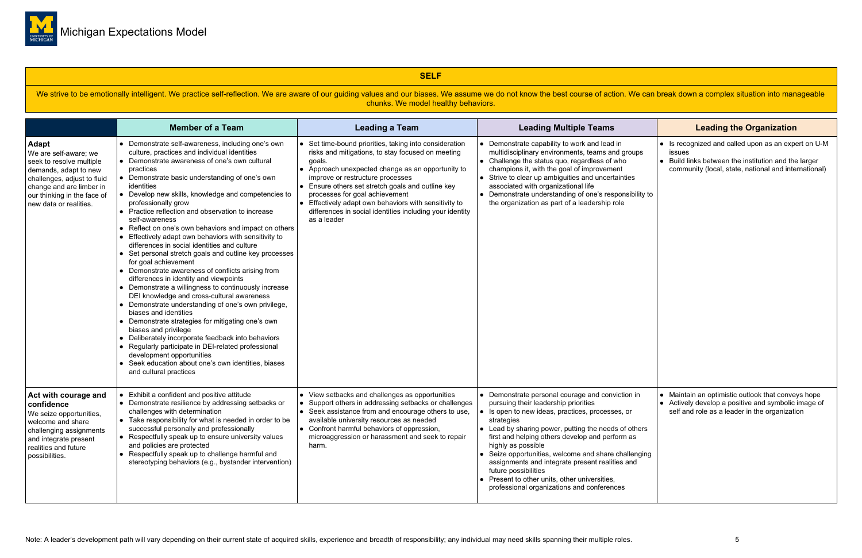

### **SELF**

We strive to be emotionally intelligent. We practice self-reflection. We are aware of our guiding values and our biases. We assume we do not know the best course of action. We can break down a complex situation into manage chunks. We model healthy behaviors.

|                                                                                                                                                                                                         | <b>Member of a Team</b>                                                                                                                                                                                                                                                                                                                                                                                                                                                                                                                                                                                                                                                                                                                                                                                                                                                                                                                                                                                                                                                                                                                                                                                                             | <b>Leading a Team</b>                                                                                                                                                                                                                                                                                                                                                                                                                     | <b>Leading Multiple Teams</b>                                                                                                                                                                                                                                                                                                                                                                                                                                                                                                                 | <b>Leading the Organization</b>                                                                                                                      |
|---------------------------------------------------------------------------------------------------------------------------------------------------------------------------------------------------------|-------------------------------------------------------------------------------------------------------------------------------------------------------------------------------------------------------------------------------------------------------------------------------------------------------------------------------------------------------------------------------------------------------------------------------------------------------------------------------------------------------------------------------------------------------------------------------------------------------------------------------------------------------------------------------------------------------------------------------------------------------------------------------------------------------------------------------------------------------------------------------------------------------------------------------------------------------------------------------------------------------------------------------------------------------------------------------------------------------------------------------------------------------------------------------------------------------------------------------------|-------------------------------------------------------------------------------------------------------------------------------------------------------------------------------------------------------------------------------------------------------------------------------------------------------------------------------------------------------------------------------------------------------------------------------------------|-----------------------------------------------------------------------------------------------------------------------------------------------------------------------------------------------------------------------------------------------------------------------------------------------------------------------------------------------------------------------------------------------------------------------------------------------------------------------------------------------------------------------------------------------|------------------------------------------------------------------------------------------------------------------------------------------------------|
| Adapt<br>We are self-aware; we<br>seek to resolve multiple<br>demands, adapt to new<br>challenges, adjust to fluid<br>change and are limber in<br>our thinking in the face of<br>new data or realities. | • Demonstrate self-awareness, including one's own<br>culture, practices and individual identities<br>• Demonstrate awareness of one's own cultural<br>practices<br>• Demonstrate basic understanding of one's own<br>identities<br>• Develop new skills, knowledge and competencies to<br>professionally grow<br>• Practice reflection and observation to increase<br>self-awareness<br>Reflect on one's own behaviors and impact on others<br>• Effectively adapt own behaviors with sensitivity to<br>differences in social identities and culture<br>• Set personal stretch goals and outline key processes<br>for goal achievement<br>• Demonstrate awareness of conflicts arising from<br>differences in identity and viewpoints<br>• Demonstrate a willingness to continuously increase<br>DEI knowledge and cross-cultural awareness<br>• Demonstrate understanding of one's own privilege,<br>biases and identities<br>• Demonstrate strategies for mitigating one's own<br>biases and privilege<br>• Deliberately incorporate feedback into behaviors<br>• Regularly participate in DEI-related professional<br>development opportunities<br>• Seek education about one's own identities, biases<br>and cultural practices | • Set time-bound priorities, taking into consideration<br>risks and mitigations, to stay focused on meeting<br>goals.<br>• Approach unexpected change as an opportunity to<br>improve or restructure processes<br>• Ensure others set stretch goals and outline key<br>processes for goal achievement<br>• Effectively adapt own behaviors with sensitivity to<br>differences in social identities including your identity<br>as a leader | • Demonstrate capability to work and lead in<br>multidisciplinary environments, teams and groups<br>$\bullet$ Challenge the status quo, regardless of who<br>champions it, with the goal of improvement<br>Strive to clear up ambiguities and uncertainties<br>associated with organizational life<br>• Demonstrate understanding of one's responsibility to<br>the organization as part of a leadership role                                                                                                                                 | • Is recognized and called upon as an expe<br>issues<br>• Build links between the institution and the<br>community (local, state, national and inter |
| Act with courage and<br>confidence<br>We seize opportunities,<br>welcome and share<br>challenging assignments<br>and integrate present<br>realities and future<br>possibilities.                        | Exhibit a confident and positive attitude<br>• Demonstrate resilience by addressing setbacks or<br>challenges with determination<br>• Take responsibility for what is needed in order to be<br>successful personally and professionally<br>$\bullet$ Respectfully speak up to ensure university values<br>and policies are protected<br>• Respectfully speak up to challenge harmful and<br>stereotyping behaviors (e.g., bystander intervention)                                                                                                                                                                                                                                                                                                                                                                                                                                                                                                                                                                                                                                                                                                                                                                                   | • View setbacks and challenges as opportunities<br>• Support others in addressing setbacks or challenges<br>• Seek assistance from and encourage others to use,<br>available university resources as needed<br>• Confront harmful behaviors of oppression,<br>microaggression or harassment and seek to repair<br>harm.                                                                                                                   | • Demonstrate personal courage and conviction in<br>pursuing their leadership priorities<br>• Is open to new ideas, practices, processes, or<br>strategies<br>$\bullet$ Lead by sharing power, putting the needs of others<br>first and helping others develop and perform as<br>highly as possible<br>↓ Seize opportunities, welcome and share challenging<br>assignments and integrate present realities and<br>future possibilities<br>$\bullet$ Present to other units, other universities,<br>professional organizations and conferences | Maintain an optimistic outlook that convey<br>• Actively develop a positive and symbolic i<br>self and role as a leader in the organization          |

|                               |                        | <b>Leading the Organization</b>                                                                                                                                           |
|-------------------------------|------------------------|---------------------------------------------------------------------------------------------------------------------------------------------------------------------------|
| ups<br>vility to              |                        | Is recognized and called upon as an expert on U-M<br>issues<br>Build links between the institution and the larger<br>community (local, state, national and international) |
| in<br>hers<br>S<br>nging<br>d | $\bullet$<br>$\bullet$ | Maintain an optimistic outlook that conveys hope<br>Actively develop a positive and symbolic image of<br>self and role as a leader in the organization                    |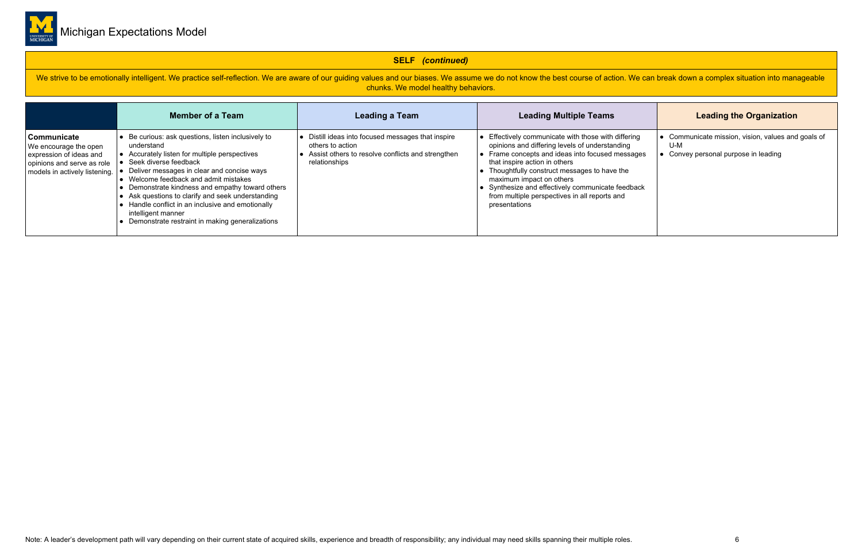

### **SELF** *(continued)*

We strive to be emotionally intelligent. We practice self-reflection. We are aware of our guiding values and our biases. We assume we do not know the best course of action. We can break down a complex situation into manage chunks. We model healthy behaviors.

|                                                                                                                                | <b>Member of a Team</b>                                                                                                                                                                                                                                                                                                                                                                                                                                            | <b>Leading a Team</b>                                                                                                                      | <b>Leading Multiple Teams</b>                                                                                                                                                                                                                                                                                                                                                                          | <b>Leading the Organization</b>                                                               |
|--------------------------------------------------------------------------------------------------------------------------------|--------------------------------------------------------------------------------------------------------------------------------------------------------------------------------------------------------------------------------------------------------------------------------------------------------------------------------------------------------------------------------------------------------------------------------------------------------------------|--------------------------------------------------------------------------------------------------------------------------------------------|--------------------------------------------------------------------------------------------------------------------------------------------------------------------------------------------------------------------------------------------------------------------------------------------------------------------------------------------------------------------------------------------------------|-----------------------------------------------------------------------------------------------|
| Communicate<br>We encourage the open<br>expression of ideas and<br>opinions and serve as role<br>models in actively listening. | Be curious: ask questions, listen inclusively to<br>understand<br>• Accurately listen for multiple perspectives<br>Seek diverse feedback<br>• Deliver messages in clear and concise ways<br>Welcome feedback and admit mistakes<br>Demonstrate kindness and empathy toward others<br>• Ask questions to clarify and seek understanding<br>Handle conflict in an inclusive and emotionally<br>intelligent manner<br>Demonstrate restraint in making generalizations | Distill ideas into focused messages that inspire<br>others to action<br>Assist others to resolve conflicts and strengthen<br>relationships | $\bullet$ Effectively communicate with those with differing<br>opinions and differing levels of understanding<br>• Frame concepts and ideas into focused messages<br>that inspire action in others<br>• Thoughtfully construct messages to have the<br>maximum impact on others<br>• Synthesize and effectively communicate feedback<br>from multiple perspectives in all reports and<br>presentations | Communicate mission, vision, values and goals of<br>U-M<br>Convey personal purpose in leading |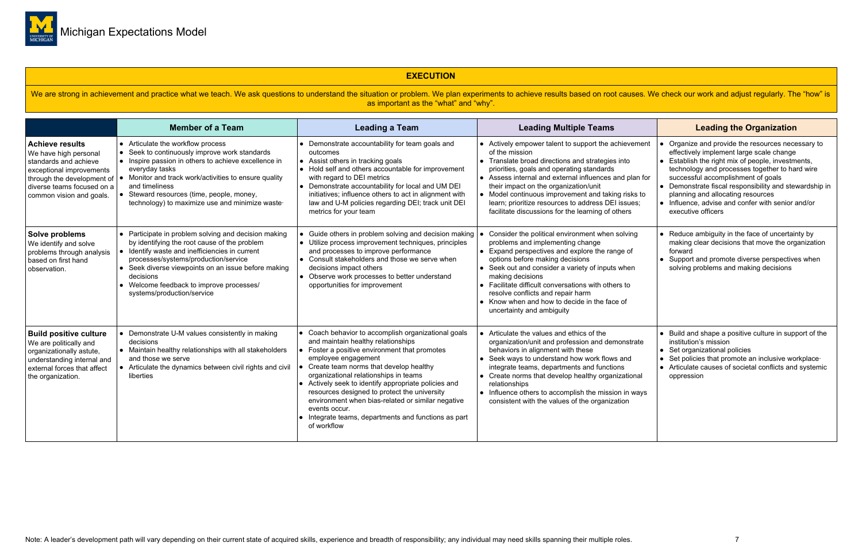

### **EXECUTION**

We are strong in achievement and practice what we teach. We ask questions to understand the situation or problem. We plan experiments to achieve results based on root causes. We check our work and adjust regularly. The "ho as important as the "what" and "why".

|                                                                                                                                                                                              | <b>Member of a Team</b>                                                                                                                                                                                                                                                                                                                      | <b>Leading a Team</b>                                                                                                                                                                                                                                                                                                                                                                                                                                                                                     | <b>Leading Multiple Teams</b>                                                                                                                                                                                                                                                                                                                                                                                                               | <b>Leading the Organization</b>                                                                                                                                                                                                                                                                                                                                                                                            |
|----------------------------------------------------------------------------------------------------------------------------------------------------------------------------------------------|----------------------------------------------------------------------------------------------------------------------------------------------------------------------------------------------------------------------------------------------------------------------------------------------------------------------------------------------|-----------------------------------------------------------------------------------------------------------------------------------------------------------------------------------------------------------------------------------------------------------------------------------------------------------------------------------------------------------------------------------------------------------------------------------------------------------------------------------------------------------|---------------------------------------------------------------------------------------------------------------------------------------------------------------------------------------------------------------------------------------------------------------------------------------------------------------------------------------------------------------------------------------------------------------------------------------------|----------------------------------------------------------------------------------------------------------------------------------------------------------------------------------------------------------------------------------------------------------------------------------------------------------------------------------------------------------------------------------------------------------------------------|
| <b>Achieve results</b><br>We have high personal<br>standards and achieve<br>exceptional improvements<br>through the development of<br>diverse teams focused on a<br>common vision and goals. | • Articulate the workflow process<br>• Seek to continuously improve work standards<br>• Inspire passion in others to achieve excellence in<br>everyday tasks<br>Monitor and track work/activities to ensure quality<br>and timeliness<br>Steward resources (time, people, money,<br>technology) to maximize use and minimize waste-          | • Demonstrate accountability for team goals and<br>outcomes<br>• Assist others in tracking goals<br>• Hold self and others accountable for improvement<br>with regard to DEI metrics<br>• Demonstrate accountability for local and UM DEI<br>initiatives; influence others to act in alignment with<br>law and U-M policies regarding DEI; track unit DEI<br>metrics for your team                                                                                                                        | • Actively empower talent to support the achievement<br>of the mission<br>• Translate broad directions and strategies into<br>priorities, goals and operating standards<br>• Assess internal and external influences and plan for<br>their impact on the organization/unit<br>• Model continuous improvement and taking risks to<br>learn; prioritize resources to address DEI issues;<br>facilitate discussions for the learning of others | Organize and provide the resources necessary to<br>effectively implement large scale change<br>• Establish the right mix of people, investments,<br>technology and processes together to hard wire<br>successful accomplishment of goals<br>• Demonstrate fiscal responsibility and stewardship in<br>planning and allocating resources<br>$\bullet$ Influence, advise and confer with senior and/or<br>executive officers |
| Solve problems<br>We identify and solve<br>problems through analysis<br>based on first hand<br>observation.                                                                                  | • Participate in problem solving and decision making<br>by identifying the root cause of the problem<br>• Identify waste and inefficiencies in current<br>processes/systems/production/service<br>• Seek diverse viewpoints on an issue before making<br>decisions<br>• Welcome feedback to improve processes/<br>systems/production/service | • Guide others in problem solving and decision making<br>• Utilize process improvement techniques, principles<br>and processes to improve performance<br>• Consult stakeholders and those we serve when<br>decisions impact others<br>• Observe work processes to better understand<br>opportunities for improvement                                                                                                                                                                                      | Consider the political environment when solving<br>problems and implementing change<br>• Expand perspectives and explore the range of<br>options before making decisions<br>• Seek out and consider a variety of inputs when<br>making decisions<br>• Facilitate difficult conversations with others to<br>resolve conflicts and repair harm<br>• Know when and how to decide in the face of<br>uncertainty and ambiguity                   | • Reduce ambiguity in the face of uncertainty by<br>making clear decisions that move the organization<br>forward<br>• Support and promote diverse perspectives when<br>solving problems and making decisions                                                                                                                                                                                                               |
| <b>Build positive culture</b><br>We are politically and<br>organizationally astute,<br>understanding internal and<br>external forces that affect<br>the organization.                        | • Demonstrate U-M values consistently in making<br>decisions<br>• Maintain healthy relationships with all stakeholders<br>and those we serve<br>• Articulate the dynamics between civil rights and civil<br>liberties                                                                                                                        | • Coach behavior to accomplish organizational goals<br>and maintain healthy relationships<br>• Foster a positive environment that promotes<br>employee engagement<br>Create team norms that develop healthy<br>organizational relationships in teams<br>• Actively seek to identify appropriate policies and<br>resources designed to protect the university<br>environment when bias-related or similar negative<br>events occur.<br>• Integrate teams, departments and functions as part<br>of workflow | • Articulate the values and ethics of the<br>organization/unit and profession and demonstrate<br>behaviors in alignment with these<br>• Seek ways to understand how work flows and<br>integrate teams, departments and functions<br>• Create norms that develop healthy organizational<br>relationships<br>• Influence others to accomplish the mission in ways<br>consistent with the values of the organization                           | • Build and shape a positive culture in support of the<br>institution's mission<br>• Set organizational policies<br>• Set policies that promote an inclusive workplace<br>• Articulate causes of societal conflicts and systemic<br>oppression                                                                                                                                                                             |